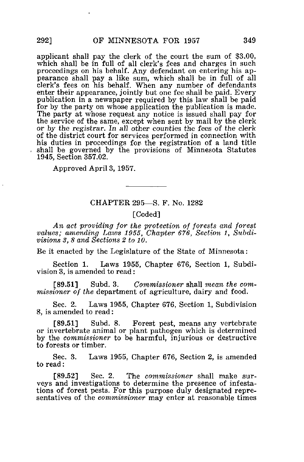applicant shall pay the clerk of the court the sum of \$3.00, which shall be in full of all clerk's fees and charges in such proceedings on his behalf. Any defendant on entering his appearance shall pay a like sum, which shall be in full of all clerk's fees on his behalf. When any number of defendants enter their appearance, jointly but one fee shall be paid. Every publication in a newspaper required by this law shall be paid for by the party on whose application the publication is made. The party at whose request any notice is issued shall pay for the service of the same, except when sent by mail by the clerk or by the registrar. In all other counties the fees of the clerk of the district court for services performed in connection with his duties in proceedings for- the registration of a land title shall be governed by the provisions of Minnesota Statutes 1945, Section 357.02.

Approved April 3, 1957.

## CHAPTER 295—S. F. No. 1282

## [Coded]

An act providing for the protection of forests and forest values; amending Laws 1955, Chapter 676, Section 1, Subdivisions 3, 8 and Sections 2 to 10.

Be it enacted by the Legislature of the State of Minnesota:

Section 1. Laws 1955, Chapter 676, Section 1, Subdivision 3, is amended to read:

[89.51] Subd. 3. Commissioner shall mean the commissioner of the department of agriculture, dairy and food.

Sec. 2. Laws 1955, Chapter 676, Section 1, Subdivision 8, is amended to read:

[89.51] Subd. 8. Forest pest, means any vertebrate or invertebrate animal or plant pathogen which is determined by the commissioner to be harmful, injurious or destructive to forests or timber.

Sec. 3. Laws 1955, Chapter 676, Section 2, is amended to read:

[89.52] Sec. 2. The commissioner shall make surveys and investigations to determine the presence of infestations of forest pests. For this purpose duly designated representatives of the commissioner may enter at reasonable times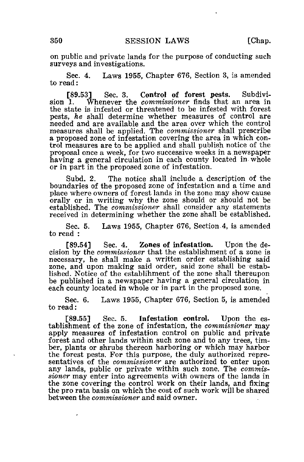on public and private lands for the purpose of conducting such surveys and investigations.

Sec. 4. Laws 1955, Chapter 676, Section 3, is amended to read:

[89.53] Sec. 3. Control of forest pests. Subdivision 1. Whenever the *commissioner* finds that an area in Whenever the commissioner finds that an area in the state is infested or threatened to be infested with forest pests, he shall determine whether measures of control are needed and are available and the area over which the control measures shall be applied. The commissioner shall prescribe a proposed zone of infestation covering the area in which control measures are to be applied and shall publish notice of the proposal once a week, for two successive weeks in a newspaper having a general circulation in each county located in whole or in part in the proposed zone of infestation.

Subd. 2. The notice shall include a description of the boundaries of the proposed zone of infestation and a time and place where owners of forest lands in the zone may show cause orally or in writing why the zone should or should not be established. The *commissioner* shall consider any statements received in determining whether the zone shall be established.

Sec. 5. Laws 1955, Chapter 676, Section.4, is amended to read :

[89.54] Sec. 4. Zones of infestation. Upon the decision by the commissioner that the establishment of a zone is necessary, he shall make a written order establishing said zone, and upon making said order, said zone shall be established. Notice of the establihment of the zone shall thereupon be published in a newspaper having a general circulation in each county located in whole or in part in the proposed zone.

Sec. 6. Laws 1955, Chapter 676, Section 5, is amended to read:

[89.55] Sec. 5. Infestation control. Upon the establishment of the zone of infestation, the commissioner may apply measures of infestation control on public and private forest and other lands within such zone and to any trees, timber, plants or shrubs thereon harboring or which may harbor the forest pests. For this purpose, the duly authorized representatives of the *commissioner* are authorized to enter upon any lands, public or private within such zone. The commissioner may enter into agreements with owners of the lands in the zone covering the control work on their lands, and fixing the pro rata basis on which the cost of such work will be shared between the commissioner and said owner.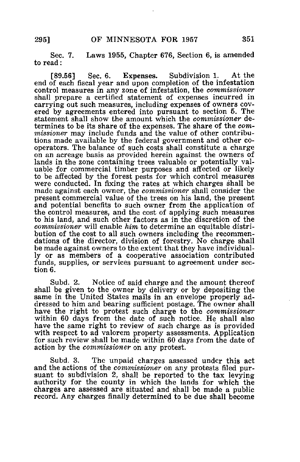Sec. 7. Laws 1955, Chapter 676, Section 6, is amended to read:

[89.56] Sec. 6. Expenses. Subdivision 1. At the end of each fiscal year and upon completion of the infestation control measures in any zone of infestation, the commissioner shall prepare a certified statement of expenses incurred in carrying out such measures, including expenses of owners covered by agreements entered into pursuant to section 5. The statement shall show the amount which the commissioner determines to be its share of the expenses. The share of the com*missioner* may include funds and the value of other contributions made available by the federal government and other cooperators. The balance of such costs shall constitute a charge on an acreage basis as provided herein against the owners of lands in the zone containing trees valuable or potentially valuable for commercial timber purposes and affected or likely to be affected by the forest pests for which control measures were conducted. In fixing the rates at which charges shall be made against each owner, the *commissioner* shall consider the present commercial value of the trees on his land, the present and potential benefits to such owner from the application of the control measures, and the cost of applying such measures to his land, and such other factors as in the discretion of the commissioner will enable him to determine an equitable distribution of the cost to all such owners including the recommendations of the director, division of forestry. No charge shall be made against owners to the extent that they have individually or as members of a cooperative association contributed funds, supplies, or services pursuant to agreement under section 6.

Subd. 2. Notice of said charge and the amount thereof shall be given to the owner by delivery or by depositing the same in the United States mails in an envelope properly addressed to him and bearing sufficient postage. The owner shall have the right to protest such charge to the commissioner within 60 days from the date of such notice. He shall also have the same right to review of such charge as is provided with respect to ad valorem property assessments. Application for such review shall be made within 60 days from the date of action by the commissioner on any protest.

Subd. 3. The unpaid charges assessed under this act and the actions of the *commissioner* on any protests filed pursuant to subdivision 2, shall be reported to the tax levying authority for the county in which the lands for which the charges are assessed are situated and shall be made a public record. Any charges finally determined to be due shall become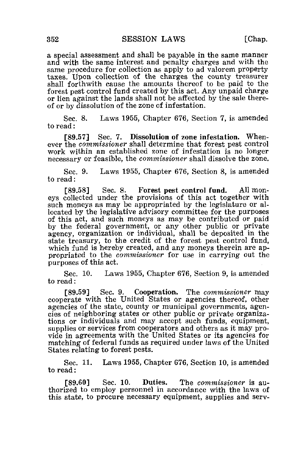a special assessment and shall be payable in the same manner and with the same interest and penalty charges and with the same procedure for collection as apply to ad valorem property taxes. Upon collection of the charges the county treasurer shall forthwith cause the amounts thereof to be paid to the forest pest control fund created by this act. Any unpaid charge or lien against the lands shall not be affected by the sale thereof or by dissolution of the zone of infestation.

Sec. 8. Laws 1955, Chapter 676, Section 7, is amended to read:

[89.57] Sec. 7. Dissolution of zone infestation. Whenever the commissioner shall determine that forest pest control work within an established zone of infestation is no longer necessary or feasible, the *commissioner* shall dissolve the zone.

Sec. 9. Laws 1955, Chapter 676, Section 8, is amended to read:

[89.58] Sec. 8. Forest pest control fund. All moneys collected under the provisions of this act together with such moneys as may be appropriated by the legislature or allocated by the legislative advisory committee for the purposes of this act, and such moneys as may be contributed or paid by the federal government, or any other public or private agency, organization or individual, shall be deposited in the state treasury, to the credit of the forest pest control fund, which fund is hereby created, and any moneys therein are appropriated to the commissioner for use in carrying out the purposes of this act.

Sec. 10. Laws 1955, Chapter 676, Section 9, is amended to read:

[89.59] Sec. 9. Cooperation. The commissioner may cooperate with the United States or agencies thereof, other agencies of the state, county or municipal governments, agencies of neighboring states or other public or private organizations or individuals and may accept such funds, equipment, supplies or services from cooperators and others as it may provide in agreements with the United States or its agencies for matching of federal funds as required under laws of the United States relating to forest pests.

Sec. 11. Laws 1955, Chapter 676, Section 10, is amended to read:

[89.60] Sec. 10. Duties. The *commissioner* is authorized to employ personnel in accordance with the laws of this state, to procure necessary equipment, supplies and serv